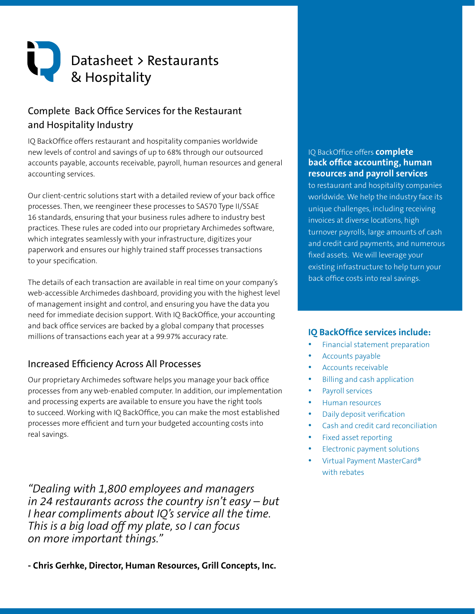# Datasheet > Restaurants & Hospitality

# Complete Back Office Services for the Restaurant and Hospitality Industry

IQ BackOffice offers restaurant and hospitality companies worldwide new levels of control and savings of up to 68% through our outsourced accounts payable, accounts receivable, payroll, human resources and general accounting services.

Our client-centric solutions start with a detailed review of your back office processes. Then, we reengineer these processes to SAS70 Type II/SSAE 16 standards, ensuring that your business rules adhere to industry best practices. These rules are coded into our proprietary Archimedes software, which integrates seamlessly with your infrastructure, digitizes your paperwork and ensures our highly trained staff processes transactions to your specification.

The details of each transaction are available in real time on your company's web-accessible Archimedes dashboard, providing you with the highest level of management insight and control, and ensuring you have the data you need for immediate decision support. With IQ BackOffice, your accounting and back office services are backed by a global company that processes millions of transactions each year at a 99.97% accuracy rate.

## Increased Efficiency Across All Processes

Our proprietary Archimedes software helps you manage your back office processes from any web-enabled computer. In addition, our implementation and processing experts are available to ensure you have the right tools to succeed. Working with IQ BackOffice, you can make the most established processes more efficient and turn your budgeted accounting costs into real savings.

*"Dealing with 1,800 employees and managers in 24 restaurants across the country isn't easy – but I hear compliments about IQ's service all the time. This is a big load off my plate, so I can focus on more important things."*

## **- Chris Gerhke, Director, Human Resources, Grill Concepts, Inc.**

#### IQ BackOffice offers **complete back office accounting, human resources and payroll services**

to restaurant and hospitality companies worldwide. We help the industry face its unique challenges, including receiving invoices at diverse locations, high turnover payrolls, large amounts of cash and credit card payments, and numerous fixed assets. We will leverage your existing infrastructure to help turn your back office costs into real savings.

## **IQ BackOffice services include:**

- Financial statement preparation
- Accounts payable
- Accounts receivable
- **Billing and cash application**
- Payroll services
- Human resources
- Daily deposit verification
- Cash and credit card reconciliation
- Fixed asset reporting
- Electronic payment solutions
- Virtual Payment MasterCard® with rebates